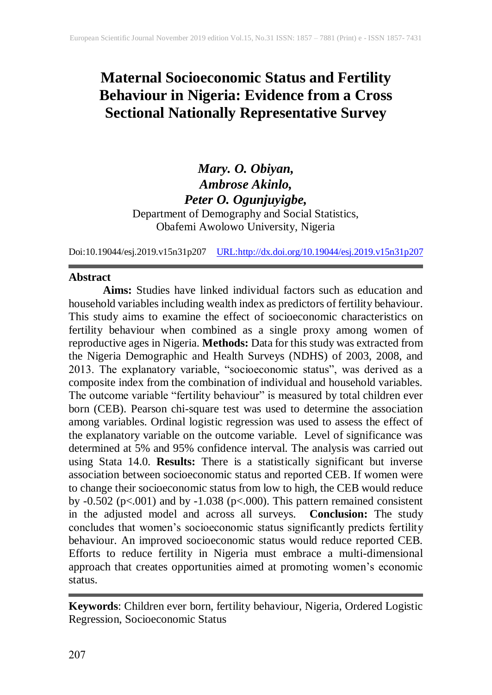# **Maternal Socioeconomic Status and Fertility Behaviour in Nigeria: Evidence from a Cross Sectional Nationally Representative Survey**

## *Mary. O. Obiyan, Ambrose Akinlo, Peter O. Ogunjuyigbe,* Department of Demography and Social Statistics, Obafemi Awolowo University, Nigeria

Doi:10.19044/esj.2019.v15n31p207 [URL:http://dx.doi.org/10.19044/esj.2019.v15n31p2](http://dx.doi.org/10.19044/esj.2019.v15n31p1)07

## **Abstract**

**Aims:** Studies have linked individual factors such as education and household variables including wealth index as predictors of fertility behaviour. This study aims to examine the effect of socioeconomic characteristics on fertility behaviour when combined as a single proxy among women of reproductive ages in Nigeria. **Methods:** Data for this study was extracted from the Nigeria Demographic and Health Surveys (NDHS) of 2003, 2008, and 2013. The explanatory variable, "socioeconomic status", was derived as a composite index from the combination of individual and household variables. The outcome variable "fertility behaviour" is measured by total children ever born (CEB). Pearson chi-square test was used to determine the association among variables. Ordinal logistic regression was used to assess the effect of the explanatory variable on the outcome variable. Level of significance was determined at 5% and 95% confidence interval. The analysis was carried out using Stata 14.0. **Results:** There is a statistically significant but inverse association between socioeconomic status and reported CEB. If women were to change their socioeconomic status from low to high, the CEB would reduce by  $-0.502$  (p<.001) and by  $-1.038$  (p<.000). This pattern remained consistent in the adjusted model and across all surveys. **Conclusion:** The study concludes that women's socioeconomic status significantly predicts fertility behaviour. An improved socioeconomic status would reduce reported CEB. Efforts to reduce fertility in Nigeria must embrace a multi-dimensional approach that creates opportunities aimed at promoting women's economic status.

**Keywords**: Children ever born, fertility behaviour, Nigeria, Ordered Logistic Regression, Socioeconomic Status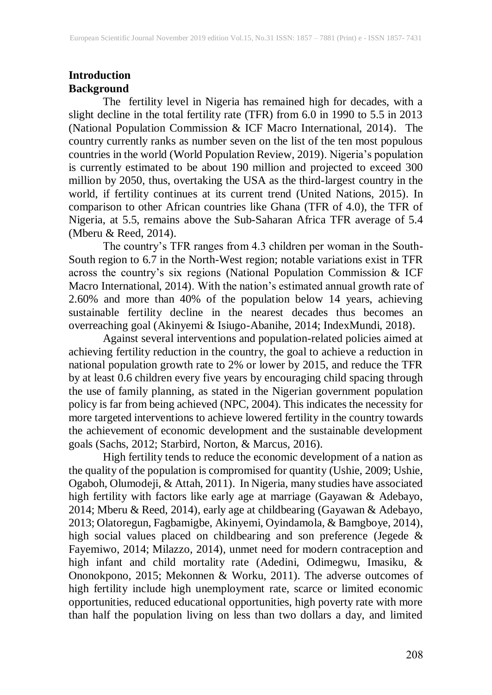## **Introduction Background**

The fertility level in Nigeria has remained high for decades, with a slight decline in the total fertility rate (TFR) from 6.0 in 1990 to 5.5 in 2013 (National Population Commission & ICF Macro International, 2014). The country currently ranks as number seven on the list of the ten most populous countries in the world (World Population Review, 2019). Nigeria's population is currently estimated to be about 190 million and projected to exceed 300 million by 2050, thus, overtaking the USA as the third-largest country in the world, if fertility continues at its current trend (United Nations, 2015). In comparison to other African countries like Ghana (TFR of 4.0), the TFR of Nigeria, at 5.5, remains above the Sub-Saharan Africa TFR average of 5.4 (Mberu & Reed, 2014).

The country's TFR ranges from 4.3 children per woman in the South-South region to 6.7 in the North-West region; notable variations exist in TFR across the country's six regions (National Population Commission & ICF Macro International, 2014). With the nation's estimated annual growth rate of 2.60% and more than 40% of the population below 14 years, achieving sustainable fertility decline in the nearest decades thus becomes an overreaching goal (Akinyemi & Isiugo-Abanihe, 2014; IndexMundi, 2018).

Against several interventions and population-related policies aimed at achieving fertility reduction in the country, the goal to achieve a reduction in national population growth rate to 2% or lower by 2015, and reduce the TFR by at least 0.6 children every five years by encouraging child spacing through the use of family planning, as stated in the Nigerian government population policy is far from being achieved (NPC, 2004). This indicates the necessity for more targeted interventions to achieve lowered fertility in the country towards the achievement of economic development and the sustainable development goals (Sachs, 2012; Starbird, Norton, & Marcus, 2016).

High fertility tends to reduce the economic development of a nation as the quality of the population is compromised for quantity (Ushie, 2009; Ushie, Ogaboh, Olumodeji, & Attah, 2011). In Nigeria, many studies have associated high fertility with factors like early age at marriage (Gayawan & Adebayo, 2014; Mberu & Reed, 2014), early age at childbearing (Gayawan & Adebayo, 2013; Olatoregun, Fagbamigbe, Akinyemi, Oyindamola, & Bamgboye, 2014), high social values placed on childbearing and son preference (Jegede & Fayemiwo, 2014; Milazzo, 2014), unmet need for modern contraception and high infant and child mortality rate (Adedini, Odimegwu, Imasiku, & Ononokpono, 2015; Mekonnen & Worku, 2011). The adverse outcomes of high fertility include high unemployment rate, scarce or limited economic opportunities, reduced educational opportunities, high poverty rate with more than half the population living on less than two dollars a day, and limited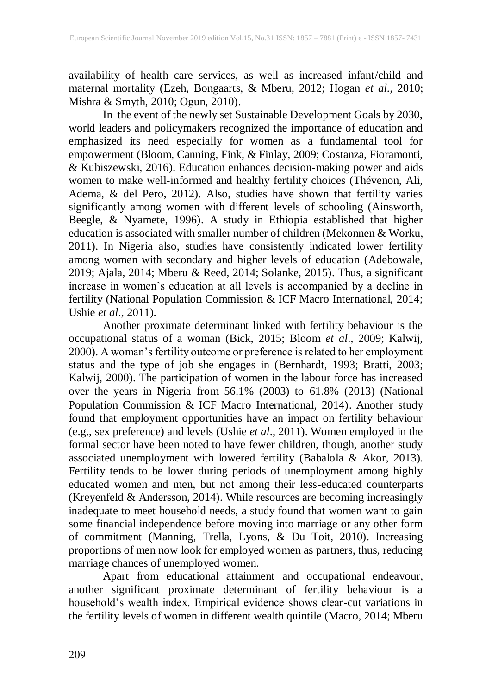availability of health care services, as well as increased infant/child and maternal mortality (Ezeh, Bongaarts, & Mberu, 2012; Hogan *et al*., 2010; Mishra & Smyth, 2010; Ogun, 2010).

In the event of the newly set Sustainable Development Goals by 2030, world leaders and policymakers recognized the importance of education and emphasized its need especially for women as a fundamental tool for empowerment (Bloom, Canning, Fink, & Finlay, 2009; Costanza, Fioramonti, & Kubiszewski, 2016). Education enhances decision-making power and aids women to make well-informed and healthy fertility choices (Thévenon, Ali, Adema, & del Pero, 2012). Also, studies have shown that fertility varies significantly among women with different levels of schooling (Ainsworth, Beegle, & Nyamete, 1996). A study in Ethiopia established that higher education is associated with smaller number of children (Mekonnen & Worku, 2011). In Nigeria also, studies have consistently indicated lower fertility among women with secondary and higher levels of education (Adebowale, 2019; Ajala, 2014; Mberu & Reed, 2014; Solanke, 2015). Thus, a significant increase in women's education at all levels is accompanied by a decline in fertility (National Population Commission & ICF Macro International, 2014; Ushie *et al*., 2011).

Another proximate determinant linked with fertility behaviour is the occupational status of a woman (Bick, 2015; Bloom *et al*., 2009; Kalwij, 2000). A woman's fertility outcome or preference is related to her employment status and the type of job she engages in (Bernhardt, 1993; Bratti, 2003; Kalwij, 2000). The participation of women in the labour force has increased over the years in Nigeria from 56.1% (2003) to 61.8% (2013) (National Population Commission & ICF Macro International, 2014). Another study found that employment opportunities have an impact on fertility behaviour (e.g., sex preference) and levels (Ushie *et al*., 2011). Women employed in the formal sector have been noted to have fewer children, though, another study associated unemployment with lowered fertility (Babalola & Akor, 2013). Fertility tends to be lower during periods of unemployment among highly educated women and men, but not among their less-educated counterparts (Kreyenfeld & Andersson, 2014). While resources are becoming increasingly inadequate to meet household needs, a study found that women want to gain some financial independence before moving into marriage or any other form of commitment (Manning, Trella, Lyons, & Du Toit, 2010). Increasing proportions of men now look for employed women as partners, thus, reducing marriage chances of unemployed women.

Apart from educational attainment and occupational endeavour, another significant proximate determinant of fertility behaviour is a household's wealth index. Empirical evidence shows clear-cut variations in the fertility levels of women in different wealth quintile (Macro, 2014; Mberu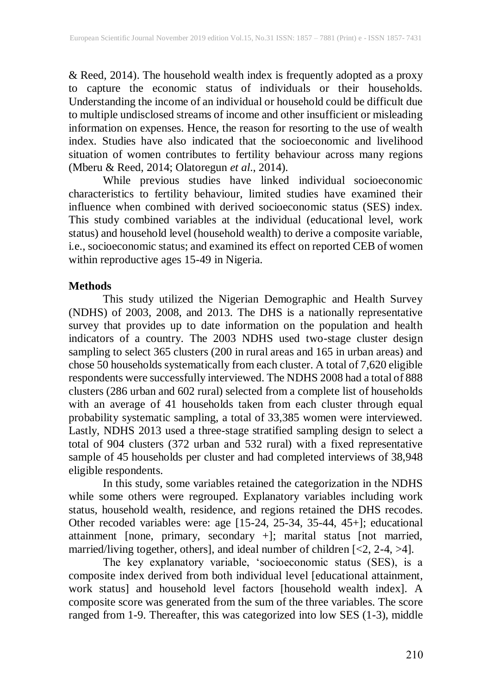& Reed, 2014). The household wealth index is frequently adopted as a proxy to capture the economic status of individuals or their households. Understanding the income of an individual or household could be difficult due to multiple undisclosed streams of income and other insufficient or misleading information on expenses. Hence, the reason for resorting to the use of wealth index. Studies have also indicated that the socioeconomic and livelihood situation of women contributes to fertility behaviour across many regions (Mberu & Reed, 2014; Olatoregun *et al*., 2014).

While previous studies have linked individual socioeconomic characteristics to fertility behaviour, limited studies have examined their influence when combined with derived socioeconomic status (SES) index. This study combined variables at the individual (educational level, work status) and household level (household wealth) to derive a composite variable, i.e., socioeconomic status; and examined its effect on reported CEB of women within reproductive ages 15-49 in Nigeria.

## **Methods**

This study utilized the Nigerian Demographic and Health Survey (NDHS) of 2003, 2008, and 2013. The DHS is a nationally representative survey that provides up to date information on the population and health indicators of a country. The 2003 NDHS used two-stage cluster design sampling to select 365 clusters (200 in rural areas and 165 in urban areas) and chose 50 households systematically from each cluster. A total of 7,620 eligible respondents were successfully interviewed. The NDHS 2008 had a total of 888 clusters (286 urban and 602 rural) selected from a complete list of households with an average of 41 households taken from each cluster through equal probability systematic sampling, a total of 33,385 women were interviewed. Lastly, NDHS 2013 used a three-stage stratified sampling design to select a total of 904 clusters (372 urban and 532 rural) with a fixed representative sample of 45 households per cluster and had completed interviews of 38,948 eligible respondents.

In this study, some variables retained the categorization in the NDHS while some others were regrouped. Explanatory variables including work status, household wealth, residence, and regions retained the DHS recodes. Other recoded variables were: age [15-24, 25-34, 35-44, 45+]; educational attainment [none, primary, secondary +]; marital status [not married, married/living together, others], and ideal number of children [<2, 2-4, >4].

The key explanatory variable, 'socioeconomic status (SES), is a composite index derived from both individual level [educational attainment, work status] and household level factors [household wealth index]. A composite score was generated from the sum of the three variables. The score ranged from 1-9. Thereafter, this was categorized into low SES (1-3), middle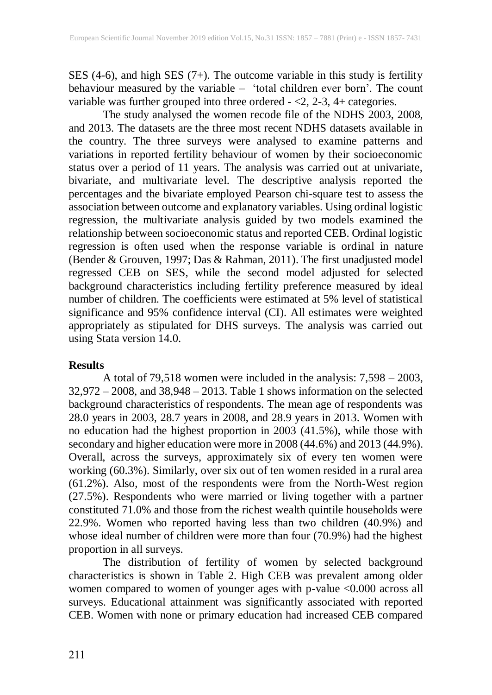SES (4-6), and high SES (7+). The outcome variable in this study is fertility behaviour measured by the variable – 'total children ever born'. The count variable was further grouped into three ordered - <2, 2-3, 4+ categories.

The study analysed the women recode file of the NDHS 2003, 2008, and 2013. The datasets are the three most recent NDHS datasets available in the country. The three surveys were analysed to examine patterns and variations in reported fertility behaviour of women by their socioeconomic status over a period of 11 years. The analysis was carried out at univariate, bivariate, and multivariate level. The descriptive analysis reported the percentages and the bivariate employed Pearson chi-square test to assess the association between outcome and explanatory variables. Using ordinal logistic regression, the multivariate analysis guided by two models examined the relationship between socioeconomic status and reported CEB. Ordinal logistic regression is often used when the response variable is ordinal in nature (Bender & Grouven, 1997; Das & Rahman, 2011). The first unadjusted model regressed CEB on SES, while the second model adjusted for selected background characteristics including fertility preference measured by ideal number of children. The coefficients were estimated at 5% level of statistical significance and 95% confidence interval (CI). All estimates were weighted appropriately as stipulated for DHS surveys. The analysis was carried out using Stata version 14.0.

#### **Results**

A total of 79,518 women were included in the analysis: 7,598 – 2003, 32,972 – 2008, and 38,948 – 2013. Table 1 shows information on the selected background characteristics of respondents. The mean age of respondents was 28.0 years in 2003, 28.7 years in 2008, and 28.9 years in 2013. Women with no education had the highest proportion in 2003 (41.5%), while those with secondary and higher education were more in 2008 (44.6%) and 2013 (44.9%). Overall, across the surveys, approximately six of every ten women were working (60.3%). Similarly, over six out of ten women resided in a rural area (61.2%). Also, most of the respondents were from the North-West region (27.5%). Respondents who were married or living together with a partner constituted 71.0% and those from the richest wealth quintile households were 22.9%. Women who reported having less than two children (40.9%) and whose ideal number of children were more than four (70.9%) had the highest proportion in all surveys.

The distribution of fertility of women by selected background characteristics is shown in Table 2. High CEB was prevalent among older women compared to women of younger ages with p-value <0.000 across all surveys. Educational attainment was significantly associated with reported CEB. Women with none or primary education had increased CEB compared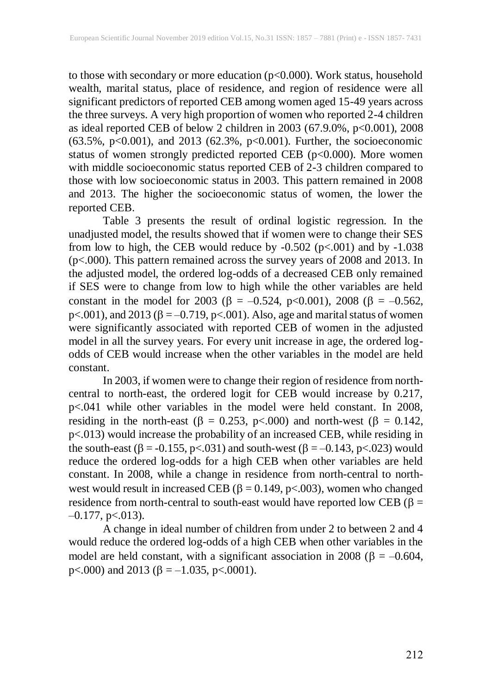to those with secondary or more education (p<0.000). Work status, household wealth, marital status, place of residence, and region of residence were all significant predictors of reported CEB among women aged 15-49 years across the three surveys. A very high proportion of women who reported 2-4 children as ideal reported CEB of below 2 children in 2003 (67.9.0%, p<0.001), 2008 (63.5%, p<0.001), and 2013 (62.3%, p<0.001). Further, the socioeconomic status of women strongly predicted reported CEB (p<0.000). More women with middle socioeconomic status reported CEB of 2-3 children compared to those with low socioeconomic status in 2003. This pattern remained in 2008 and 2013. The higher the socioeconomic status of women, the lower the reported CEB.

Table 3 presents the result of ordinal logistic regression. In the unadjusted model, the results showed that if women were to change their SES from low to high, the CEB would reduce by  $-0.502$  ( $p<0.01$ ) and by  $-1.038$ (p<.000). This pattern remained across the survey years of 2008 and 2013. In the adjusted model, the ordered log-odds of a decreased CEB only remained if SES were to change from low to high while the other variables are held constant in the model for 2003 ( $\beta = -0.524$ , p<0.001), 2008 ( $\beta = -0.562$ ,  $p<.001$ ), and 2013 ( $\beta = -0.719$ ,  $p<.001$ ). Also, age and marital status of women were significantly associated with reported CEB of women in the adjusted model in all the survey years. For every unit increase in age, the ordered logodds of CEB would increase when the other variables in the model are held constant.

In 2003, if women were to change their region of residence from northcentral to north-east, the ordered logit for CEB would increase by 0.217, p<.041 while other variables in the model were held constant. In 2008, residing in the north-east ( $\beta = 0.253$ , p<.000) and north-west ( $\beta = 0.142$ , p<.013) would increase the probability of an increased CEB, while residing in the south-east ( $\beta = -0.155$ , p<.031) and south-west ( $\beta = -0.143$ , p<.023) would reduce the ordered log-odds for a high CEB when other variables are held constant. In 2008, while a change in residence from north-central to northwest would result in increased CEB ( $\beta = 0.149$ , p<.003), women who changed residence from north-central to south-east would have reported low CEB ( $\beta$  =  $-0.177$ , p $< 013$ ).

A change in ideal number of children from under 2 to between 2 and 4 would reduce the ordered log-odds of a high CEB when other variables in the model are held constant, with a significant association in 2008 ( $\beta = -0.604$ , p <.000) and 2013 ( $\beta$  = –1.035, p <.0001).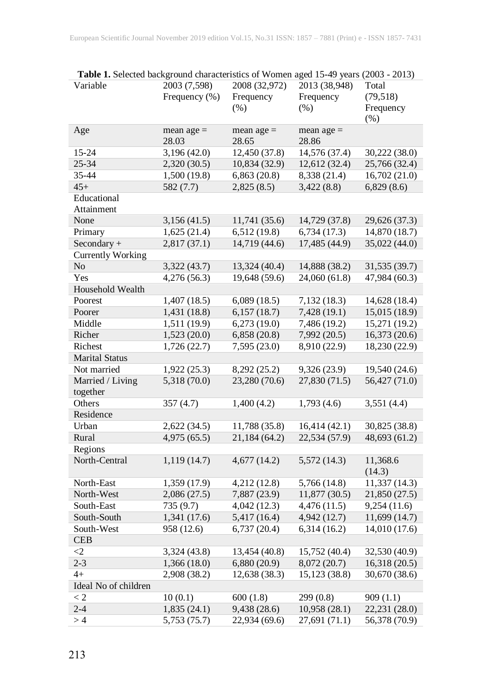| <b>Table 1.</b> Selected background characteristics of women aged 15-49 years (2005 - 2013)<br>Variable | 2003 (7,598)  | 2008 (32,972) | 2013 (38,948) | Total         |
|---------------------------------------------------------------------------------------------------------|---------------|---------------|---------------|---------------|
|                                                                                                         |               |               |               |               |
|                                                                                                         | Frequency (%) | Frequency     | Frequency     | (79, 518)     |
|                                                                                                         |               | $(\% )$       | $(\% )$       | Frequency     |
|                                                                                                         |               |               |               | $(\% )$       |
| Age                                                                                                     | mean $age =$  | mean age $=$  | mean $age =$  |               |
|                                                                                                         | 28.03         | 28.65         | 28.86         |               |
| 15-24                                                                                                   | 3,196 (42.0)  | 12,450 (37.8) | 14,576 (37.4) | 30,222 (38.0) |
| 25-34                                                                                                   | 2,320(30.5)   | 10,834 (32.9) | 12,612 (32.4) | 25,766 (32.4) |
| 35-44                                                                                                   | 1,500(19.8)   | 6,863(20.8)   | 8,338 (21.4)  | 16,702(21.0)  |
| $45+$                                                                                                   | 582 (7.7)     | 2,825(8.5)    | 3,422(8.8)    | 6,829(8.6)    |
| Educational                                                                                             |               |               |               |               |
| Attainment                                                                                              |               |               |               |               |
| None                                                                                                    | 3,156(41.5)   | 11,741 (35.6) | 14,729 (37.8) | 29,626 (37.3) |
| Primary                                                                                                 | 1,625(21.4)   | 6,512(19.8)   | 6,734(17.3)   | 14,870 (18.7) |
| Secondary +                                                                                             | 2,817(37.1)   | 14,719 (44.6) | 17,485 (44.9) | 35,022 (44.0) |
| <b>Currently Working</b>                                                                                |               |               |               |               |
| N <sub>o</sub>                                                                                          | 3,322 (43.7)  | 13,324 (40.4) | 14,888 (38.2) | 31,535 (39.7) |
| Yes                                                                                                     | 4,276(56.3)   | 19,648 (59.6) | 24,060 (61.8) | 47,984 (60.3) |
| Household Wealth                                                                                        |               |               |               |               |
| Poorest                                                                                                 | 1,407(18.5)   | 6,089(18.5)   | 7,132(18.3)   | 14,628 (18.4) |
| Poorer                                                                                                  | 1,431 (18.8)  | 6,157(18.7)   | 7,428(19.1)   | 15,015 (18.9) |
| Middle                                                                                                  | 1,511 (19.9)  | 6,273(19.0)   | 7,486 (19.2)  | 15,271 (19.2) |
| Richer                                                                                                  | 1,523(20.0)   | 6,858(20.8)   | 7,992(20.5)   | 16,373 (20.6) |
| Richest                                                                                                 | 1,726(22.7)   | 7,595 (23.0)  | 8,910 (22.9)  | 18,230 (22.9) |
| <b>Marital Status</b>                                                                                   |               |               |               |               |
| Not married                                                                                             | 1,922(25.3)   | 8,292 (25.2)  | 9,326(23.9)   | 19,540 (24.6) |
| Married / Living                                                                                        | 5,318 (70.0)  | 23,280 (70.6) | 27,830(71.5)  | 56,427 (71.0) |
| together                                                                                                |               |               |               |               |
| Others                                                                                                  | 357(4.7)      | 1,400(4.2)    | 1,793(4.6)    | 3,551(4.4)    |
| Residence                                                                                               |               |               |               |               |
| Urban                                                                                                   | 2,622(34.5)   | 11,788 (35.8) | 16,414(42.1)  | 30,825 (38.8) |
| Rural                                                                                                   | 4,975(65.5)   | 21,184(64.2)  | 22,534 (57.9) | 48,693 (61.2) |
| Regions                                                                                                 |               |               |               |               |
| North-Central                                                                                           | 1,119(14.7)   | 4,677(14.2)   | 5,572(14.3)   | 11,368.6      |
|                                                                                                         |               |               |               | (14.3)        |
| North-East                                                                                              | 1,359 (17.9)  | 4,212 (12.8)  | 5,766 (14.8)  | 11,337(14.3)  |
| North-West                                                                                              | 2,086(27.5)   | 7,887 (23.9)  | 11,877 (30.5) | 21,850 (27.5) |
| South-East                                                                                              | 735 (9.7)     | 4,042(12.3)   | 4,476(11.5)   | 9,254(11.6)   |
| South-South                                                                                             | 1,341 (17.6)  | 5,417 (16.4)  | 4,942 (12.7)  | 11,699 (14.7) |
| South-West                                                                                              |               | 6,737(20.4)   |               | 14,010 (17.6) |
| <b>CEB</b>                                                                                              | 958 (12.6)    |               | 6,314(16.2)   |               |
|                                                                                                         |               |               |               |               |
| $<$ 2                                                                                                   | 3,324 (43.8)  | 13,454 (40.8) | 15,752 (40.4) | 32,530 (40.9) |
| $2 - 3$                                                                                                 | 1,366(18.0)   | 6,880(20.9)   | 8,072 (20.7)  | 16,318(20.5)  |
| $4+$                                                                                                    | 2,908 (38.2)  | 12,638 (38.3) | 15,123 (38.8) | 30,670 (38.6) |
| Ideal No of children                                                                                    |               |               |               |               |
| < 2                                                                                                     | 10(0.1)       | 600(1.8)      | 299(0.8)      | 909(1.1)      |
| $2 - 4$                                                                                                 | 1,835(24.1)   | 9,438 (28.6)  | 10,958(28.1)  | 22,231 (28.0) |
| >4                                                                                                      | 5,753 (75.7)  | 22,934 (69.6) | 27,691 (71.1) | 56,378 (70.9) |

**Table 1.** Selected background characteristics of Women aged 15-49 years (2003 - 2013)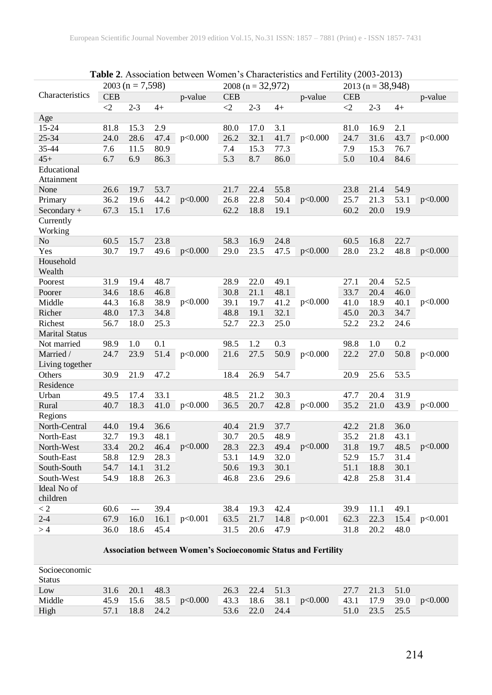| <b>Table 2.</b> Association between women s Characteristics and Fertifity $(2003-2013)$ |                    |         |                  |         |                     |         |      |                      |            |         |      |         |
|-----------------------------------------------------------------------------------------|--------------------|---------|------------------|---------|---------------------|---------|------|----------------------|------------|---------|------|---------|
|                                                                                         | $2003 (n = 7,598)$ |         |                  |         | $2008 (n = 32,972)$ |         |      | 2013 (n = $38,948$ ) |            |         |      |         |
| Characteristics                                                                         | <b>CEB</b>         |         |                  | p-value | <b>CEB</b>          |         |      | p-value              | <b>CEB</b> |         |      | p-value |
|                                                                                         | $\leq$             | $2 - 3$ | $4+$             |         | $\langle 2$         | $2 - 3$ | $4+$ |                      | $\leq$ 2   | $2 - 3$ | $4+$ |         |
| Age                                                                                     |                    |         |                  |         |                     |         |      |                      |            |         |      |         |
| $15 - 24$                                                                               | 81.8               | 15.3    | 2.9              |         | 80.0                | 17.0    | 3.1  |                      | 81.0       | 16.9    | 2.1  |         |
| 25-34                                                                                   | 24.0               | 28.6    | 47.4             | p<0.000 | 26.2                | 32.1    | 41.7 | p<0.000              | 24.7       | 31.6    | 43.7 | p<0.000 |
| 35-44                                                                                   | 7.6                | 11.5    | 80.9             |         | 7.4                 | 15.3    | 77.3 |                      | 7.9        | 15.3    | 76.7 |         |
| $45+$                                                                                   | 6.7                | 6.9     | 86.3             |         | 5.3                 | 8.7     | 86.0 |                      | 5.0        | 10.4    | 84.6 |         |
| Educational                                                                             |                    |         |                  |         |                     |         |      |                      |            |         |      |         |
| Attainment                                                                              |                    |         |                  |         |                     |         |      |                      |            |         |      |         |
| None                                                                                    | 26.6               | 19.7    | 53.7             |         | 21.7                | 22.4    | 55.8 |                      | 23.8       | 21.4    | 54.9 |         |
| Primary                                                                                 | 36.2               | 19.6    | 44.2             | p<0.000 | 26.8                | 22.8    | 50.4 | p<0.000              | 25.7       | 21.3    | 53.1 | p<0.000 |
| $Secondary +$                                                                           | 67.3               | 15.1    | 17.6             |         | 62.2                | 18.8    | 19.1 |                      | 60.2       | 20.0    | 19.9 |         |
| Currently                                                                               |                    |         |                  |         |                     |         |      |                      |            |         |      |         |
| Working                                                                                 |                    |         |                  |         |                     |         |      |                      |            |         |      |         |
| No                                                                                      | 60.5               | 15.7    | 23.8             |         | 58.3                | 16.9    | 24.8 |                      | 60.5       | 16.8    | 22.7 |         |
| Yes                                                                                     | 30.7               | 19.7    | 49.6             | p<0.000 | 29.0                | 23.5    | 47.5 | p<0.000              | 28.0       | 23.2    | 48.8 | p<0.000 |
| Household                                                                               |                    |         |                  |         |                     |         |      |                      |            |         |      |         |
| Wealth                                                                                  |                    |         |                  |         |                     |         |      |                      |            |         |      |         |
| Poorest                                                                                 | 31.9               | 19.4    | 48.7             | p<0.000 | 28.9                | 22.0    | 49.1 | p<0.000              | 27.1       | 20.4    | 52.5 | p<0.000 |
| Poorer                                                                                  | 34.6               | 18.6    | 46.8             |         | 30.8                | 21.1    | 48.1 |                      | 33.7       | 20.4    | 46.0 |         |
| Middle                                                                                  | 44.3               | 16.8    | 38.9             |         | 39.1                | 19.7    | 41.2 |                      | 41.0       | 18.9    | 40.1 |         |
| Richer                                                                                  | 48.0               | 17.3    | 34.8             |         | 48.8                | 19.1    | 32.1 |                      | 45.0       | 20.3    | 34.7 |         |
| Richest                                                                                 | 56.7               | 18.0    | 25.3             |         | 52.7                | 22.3    | 25.0 |                      | 52.2       | 23.2    | 24.6 |         |
| <b>Marital Status</b>                                                                   |                    |         |                  |         |                     |         |      |                      |            |         |      |         |
| Not married                                                                             | 98.9               | 1.0     | $\overline{0.1}$ |         | 98.5                | 1.2     | 0.3  |                      | 98.8       | 1.0     | 0.2  |         |
| Married /                                                                               | 24.7               | 23.9    | 51.4             | p<0.000 | 21.6                | 27.5    | 50.9 | p<0.000              | 22.2       | 27.0    | 50.8 | p<0.000 |
| Living together                                                                         |                    |         |                  |         |                     |         |      |                      |            |         |      |         |
| Others                                                                                  | 30.9               | 21.9    | 47.2             |         | 18.4                | 26.9    | 54.7 |                      | 20.9       | 25.6    | 53.5 |         |
| Residence                                                                               |                    |         |                  |         |                     |         |      |                      |            |         |      |         |
| Urban                                                                                   | 49.5               | 17.4    | 33.1             |         | 48.5                | 21.2    | 30.3 |                      | 47.7       | 20.4    | 31.9 |         |
| Rural                                                                                   | 40.7               | 18.3    | 41.0             | p<0.000 | 36.5                | 20.7    | 42.8 | p<0.000              | 35.2       | 21.0    | 43.9 | p<0.000 |
| Regions                                                                                 |                    |         |                  |         |                     |         |      |                      |            |         |      |         |
| North-Central                                                                           | 44.0               | 19.4    | 36.6             |         | 40.4                | 21.9    | 37.7 |                      | 42.2       | 21.8    | 36.0 |         |
| North-East                                                                              | 32.7               | 19.3    | 48.1             |         | 30.7                | 20.5    | 48.9 |                      | 35.2       | 21.8    | 43.1 |         |
| North-West                                                                              | 33.4               | 20.2    | 46.4             | p<0.000 | 28.3                | 22.3    | 49.4 | p<0.000              | 31.8       | 19.7    | 48.5 | p<0.000 |
| South-East                                                                              | 58.8               | 12.9    | 28.3             |         | 53.1                | 14.9    | 32.0 |                      | 52.9       | 15.7    | 31.4 |         |
| South-South                                                                             | 54.7               | 14.1    | 31.2             |         | 50.6                | 19.3    | 30.1 |                      | 51.1       | 18.8    | 30.1 |         |
| South-West                                                                              | 54.9               | 18.8    | 26.3             |         | 46.8                | 23.6    | 29.6 |                      | 42.8       | 25.8    | 31.4 |         |
| Ideal No of                                                                             |                    |         |                  |         |                     |         |      |                      |            |         |      |         |
| children                                                                                |                    |         |                  |         |                     |         |      |                      |            |         |      |         |
| $\lt 2$                                                                                 | 60.6               | $---$   | 39.4             |         | 38.4                | 19.3    | 42.4 |                      | 39.9       | 11.1    | 49.1 |         |
| $2 - 4$                                                                                 | 67.9               | 16.0    | 16.1             | p<0.001 | 63.5                | 21.7    | 14.8 | p<0.001              | 62.3       | 22.3    | 15.4 | p<0.001 |
| >4                                                                                      | 36.0               | 18.6    | 45.4             |         | 31.5                | 20.6    | 47.9 |                      | 31.8       | 20.2    | 48.0 |         |
|                                                                                         |                    |         |                  |         |                     |         |      |                      |            |         |      |         |

| <b>Table 2.</b> Association between Women's Characteristics and Fertility (2003-2013) |
|---------------------------------------------------------------------------------------|

#### **Association between Women's Socioeconomic Status and Fertility**

| Socioeconomic |      |                |                          |                |                          |                |                          |
|---------------|------|----------------|--------------------------|----------------|--------------------------|----------------|--------------------------|
| Status        |      |                |                          |                |                          |                |                          |
| Low           |      | 31.6 20.1 48.3 |                          | 26.3 22.4 51.3 |                          | 27.7 21.3 51.0 |                          |
| Middle        |      |                | 45.9 15.6 38.5 $p<0.000$ |                | 43.3 18.6 38.1 $p<0.000$ |                | 43.1 17.9 39.0 $p<0.000$ |
| High          | 57.1 | 18.8 24.2      |                          | 53.6 22.0 24.4 |                          | 51.0 23.5 25.5 |                          |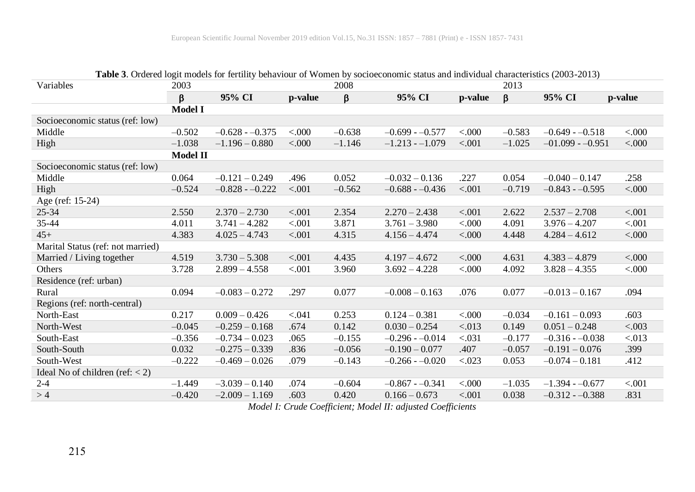|                                   | <b>Table 5.</b> Ordered logit models for fertifity behaviour of women by socioeconomic status and murvidual characteristics (2005-2015) |                  |         |          |                  |                    |          |                   |                    |
|-----------------------------------|-----------------------------------------------------------------------------------------------------------------------------------------|------------------|---------|----------|------------------|--------------------|----------|-------------------|--------------------|
| Variables                         | 2003                                                                                                                                    |                  |         | 2008     |                  |                    | 2013     |                   |                    |
|                                   | β                                                                                                                                       | 95% CI           | p-value | β        | 95% CI           | p-value            | β        | 95% CI            | p-value            |
|                                   | <b>Model I</b>                                                                                                                          |                  |         |          |                  |                    |          |                   |                    |
| Socioeconomic status (ref: low)   |                                                                                                                                         |                  |         |          |                  |                    |          |                   |                    |
| Middle                            | $-0.502$                                                                                                                                | $-0.628 - 0.375$ | < 000   | $-0.638$ | $-0.699 - 0.577$ | &000. <sub>2</sub> | $-0.583$ | $-0.649 - 0.518$  | < 0.000            |
| High                              | $-1.038$                                                                                                                                | $-1.196 - 0.880$ | &000.   | $-1.146$ | $-1.213 - 1.079$ | < .001             | $-1.025$ | $-01.099 - 0.951$ | &000.<br>          |
|                                   | <b>Model II</b>                                                                                                                         |                  |         |          |                  |                    |          |                   |                    |
| Socioeconomic status (ref: low)   |                                                                                                                                         |                  |         |          |                  |                    |          |                   |                    |
| Middle                            | 0.064                                                                                                                                   | $-0.121 - 0.249$ | .496    | 0.052    | $-0.032 - 0.136$ | .227               | 0.054    | $-0.040 - 0.147$  | .258               |
| High                              | $-0.524$                                                                                                                                | $-0.828 - 0.222$ | < .001  | $-0.562$ | $-0.688 - 0.436$ | < 0.001            | $-0.719$ | $-0.843 - 0.595$  | < 000              |
| Age (ref: 15-24)                  |                                                                                                                                         |                  |         |          |                  |                    |          |                   |                    |
| $25 - 34$                         | 2.550                                                                                                                                   | $2.370 - 2.730$  | < .001  | 2.354    | $2.270 - 2.438$  | < 0.001            | 2.622    | $2.537 - 2.708$   | $-.001$            |
| 35-44                             | 4.011                                                                                                                                   | $3.741 - 4.282$  | < .001  | 3.871    | $3.761 - 3.980$  | < 0.000            | 4.091    | $3.976 - 4.207$   | $-.001$            |
| $45+$                             | 4.383                                                                                                                                   | $4.025 - 4.743$  | < .001  | 4.315    | $4.156 - 4.474$  | &000. <sub>0</sub> | 4.448    | $4.284 - 4.612$   | < 000              |
| Marital Status (ref: not married) |                                                                                                                                         |                  |         |          |                  |                    |          |                   |                    |
| Married / Living together         | 4.519                                                                                                                                   | $3.730 - 5.308$  | < .001  | 4.435    | $4.197 - 4.672$  | < 0.000            | 4.631    | $4.383 - 4.879$   | &000. <sub>0</sub> |
| Others                            | 3.728                                                                                                                                   | $2.899 - 4.558$  | < .001  | 3.960    | $3.692 - 4.228$  | < 0.000            | 4.092    | $3.828 - 4.355$   | &000.<br>          |
| Residence (ref: urban)            |                                                                                                                                         |                  |         |          |                  |                    |          |                   |                    |
| Rural                             | 0.094                                                                                                                                   | $-0.083 - 0.272$ | .297    | 0.077    | $-0.008 - 0.163$ | .076               | 0.077    | $-0.013 - 0.167$  | .094               |
| Regions (ref: north-central)      |                                                                                                                                         |                  |         |          |                  |                    |          |                   |                    |
| North-East                        | 0.217                                                                                                                                   | $0.009 - 0.426$  | < 0.041 | 0.253    | $0.124 - 0.381$  | < 0.000            | $-0.034$ | $-0.161 - 0.093$  | .603               |
| North-West                        | $-0.045$                                                                                                                                | $-0.259 - 0.168$ | .674    | 0.142    | $0.030 - 0.254$  | < 0.013            | 0.149    | $0.051 - 0.248$   | < .003             |
| South-East                        | $-0.356$                                                                                                                                | $-0.734 - 0.023$ | .065    | $-0.155$ | $-0.296 - 0.014$ | < .031             | $-0.177$ | $-0.316 - 0.038$  | < 0.013            |
| South-South                       | 0.032                                                                                                                                   | $-0.275 - 0.339$ | .836    | $-0.056$ | $-0.190 - 0.077$ | .407               | $-0.057$ | $-0.191 - 0.076$  | .399               |
| South-West                        | $-0.222$                                                                                                                                | $-0.469 - 0.026$ | .079    | $-0.143$ | $-0.266 - 0.020$ | < .023             | 0.053    | $-0.074 - 0.181$  | .412               |
| Ideal No of children (ref: $<$ 2) |                                                                                                                                         |                  |         |          |                  |                    |          |                   |                    |
| $2 - 4$                           | $-1.449$                                                                                                                                | $-3.039 - 0.140$ | .074    | $-0.604$ | $-0.867 - 0.341$ | < 0.000            | $-1.035$ | $-1.394 - 0.677$  | $-.001$            |
| >4                                | $-0.420$                                                                                                                                | $-2.009 - 1.169$ | .603    | 0.420    | $0.166 - 0.673$  | < .001             | 0.038    | $-0.312 - 0.388$  | .831               |

**Table 3**. Ordered logit models for fertility behaviour of Women by socioeconomic status and individual characteristics (2003-2013)

*Model I: Crude Coefficient; Model II: adjusted Coefficients*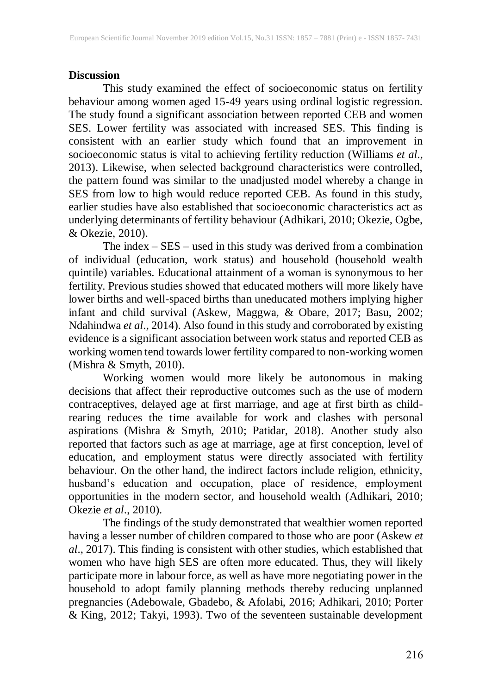## **Discussion**

This study examined the effect of socioeconomic status on fertility behaviour among women aged 15-49 years using ordinal logistic regression. The study found a significant association between reported CEB and women SES. Lower fertility was associated with increased SES. This finding is consistent with an earlier study which found that an improvement in socioeconomic status is vital to achieving fertility reduction (Williams *et al*., 2013). Likewise, when selected background characteristics were controlled, the pattern found was similar to the unadjusted model whereby a change in SES from low to high would reduce reported CEB. As found in this study, earlier studies have also established that socioeconomic characteristics act as underlying determinants of fertility behaviour (Adhikari, 2010; Okezie, Ogbe, & Okezie, 2010).

The index – SES – used in this study was derived from a combination of individual (education, work status) and household (household wealth quintile) variables. Educational attainment of a woman is synonymous to her fertility. Previous studies showed that educated mothers will more likely have lower births and well-spaced births than uneducated mothers implying higher infant and child survival (Askew, Maggwa, & Obare, 2017; Basu, 2002; Ndahindwa *et al*., 2014). Also found in this study and corroborated by existing evidence is a significant association between work status and reported CEB as working women tend towards lower fertility compared to non-working women (Mishra & Smyth, 2010).

Working women would more likely be autonomous in making decisions that affect their reproductive outcomes such as the use of modern contraceptives, delayed age at first marriage, and age at first birth as childrearing reduces the time available for work and clashes with personal aspirations (Mishra & Smyth, 2010; Patidar, 2018). Another study also reported that factors such as age at marriage, age at first conception, level of education, and employment status were directly associated with fertility behaviour. On the other hand, the indirect factors include religion, ethnicity, husband's education and occupation, place of residence, employment opportunities in the modern sector, and household wealth (Adhikari, 2010; Okezie *et al*., 2010).

The findings of the study demonstrated that wealthier women reported having a lesser number of children compared to those who are poor (Askew *et al*., 2017). This finding is consistent with other studies, which established that women who have high SES are often more educated. Thus, they will likely participate more in labour force, as well as have more negotiating power in the household to adopt family planning methods thereby reducing unplanned pregnancies (Adebowale, Gbadebo, & Afolabi, 2016; Adhikari, 2010; Porter & King, 2012; Takyi, 1993). Two of the seventeen sustainable development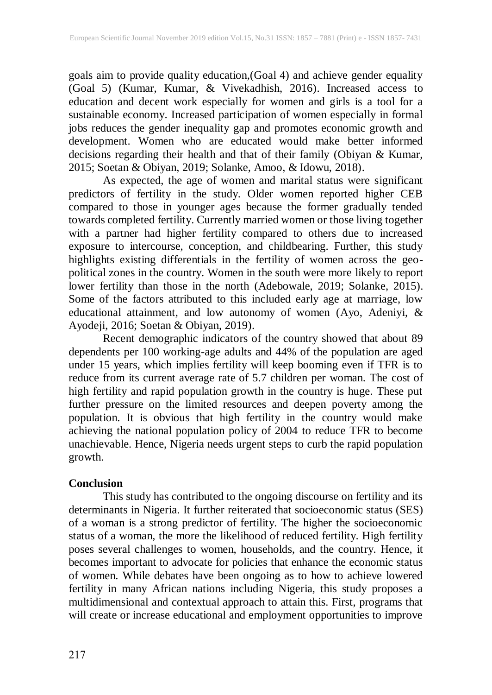goals aim to provide quality education,(Goal 4) and achieve gender equality (Goal 5) (Kumar, Kumar, & Vivekadhish, 2016). Increased access to education and decent work especially for women and girls is a tool for a sustainable economy. Increased participation of women especially in formal jobs reduces the gender inequality gap and promotes economic growth and development. Women who are educated would make better informed decisions regarding their health and that of their family (Obiyan & Kumar, 2015; Soetan & Obiyan, 2019; Solanke, Amoo, & Idowu, 2018).

As expected, the age of women and marital status were significant predictors of fertility in the study. Older women reported higher CEB compared to those in younger ages because the former gradually tended towards completed fertility. Currently married women or those living together with a partner had higher fertility compared to others due to increased exposure to intercourse, conception, and childbearing. Further, this study highlights existing differentials in the fertility of women across the geopolitical zones in the country. Women in the south were more likely to report lower fertility than those in the north (Adebowale, 2019; Solanke, 2015). Some of the factors attributed to this included early age at marriage, low educational attainment, and low autonomy of women (Ayo, Adeniyi, & Ayodeji, 2016; Soetan & Obiyan, 2019).

Recent demographic indicators of the country showed that about 89 dependents per 100 working-age adults and 44% of the population are aged under 15 years, which implies fertility will keep booming even if TFR is to reduce from its current average rate of 5.7 children per woman. The cost of high fertility and rapid population growth in the country is huge. These put further pressure on the limited resources and deepen poverty among the population. It is obvious that high fertility in the country would make achieving the national population policy of 2004 to reduce TFR to become unachievable. Hence, Nigeria needs urgent steps to curb the rapid population growth.

## **Conclusion**

This study has contributed to the ongoing discourse on fertility and its determinants in Nigeria. It further reiterated that socioeconomic status (SES) of a woman is a strong predictor of fertility. The higher the socioeconomic status of a woman, the more the likelihood of reduced fertility. High fertility poses several challenges to women, households, and the country. Hence, it becomes important to advocate for policies that enhance the economic status of women. While debates have been ongoing as to how to achieve lowered fertility in many African nations including Nigeria, this study proposes a multidimensional and contextual approach to attain this. First, programs that will create or increase educational and employment opportunities to improve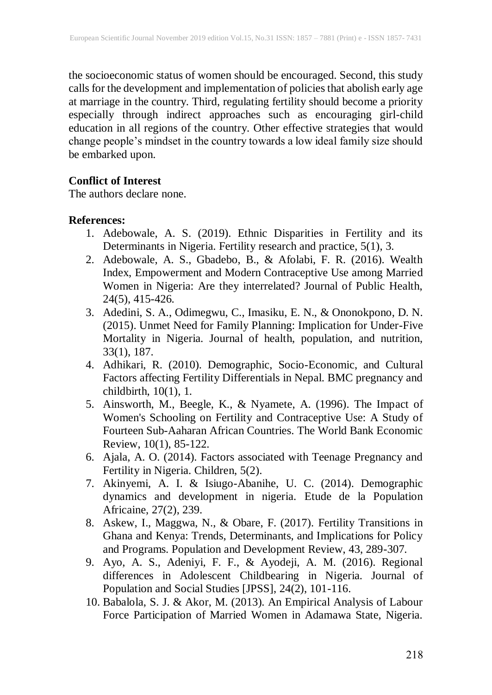the socioeconomic status of women should be encouraged. Second, this study calls for the development and implementation of policiesthat abolish early age at marriage in the country. Third, regulating fertility should become a priority especially through indirect approaches such as encouraging girl-child education in all regions of the country. Other effective strategies that would change people's mindset in the country towards a low ideal family size should be embarked upon.

## **Conflict of Interest**

The authors declare none.

## **References:**

- 1. Adebowale, A. S. (2019). Ethnic Disparities in Fertility and its Determinants in Nigeria. Fertility research and practice, 5(1), 3.
- 2. Adebowale, A. S., Gbadebo, B., & Afolabi, F. R. (2016). Wealth Index, Empowerment and Modern Contraceptive Use among Married Women in Nigeria: Are they interrelated? Journal of Public Health, 24(5), 415-426.
- 3. Adedini, S. A., Odimegwu, C., Imasiku, E. N., & Ononokpono, D. N. (2015). Unmet Need for Family Planning: Implication for Under-Five Mortality in Nigeria. Journal of health, population, and nutrition, 33(1), 187.
- 4. Adhikari, R. (2010). Demographic, Socio-Economic, and Cultural Factors affecting Fertility Differentials in Nepal. BMC pregnancy and childbirth,  $10(1)$ , 1.
- 5. Ainsworth, M., Beegle, K., & Nyamete, A. (1996). The Impact of Women's Schooling on Fertility and Contraceptive Use: A Study of Fourteen Sub-Aaharan African Countries. The World Bank Economic Review, 10(1), 85-122.
- 6. Ajala, A. O. (2014). Factors associated with Teenage Pregnancy and Fertility in Nigeria. Children, 5(2).
- 7. Akinyemi, A. I. & Isiugo-Abanihe, U. C. (2014). Demographic dynamics and development in nigeria. Etude de la Population Africaine, 27(2), 239.
- 8. Askew, I., Maggwa, N., & Obare, F. (2017). Fertility Transitions in Ghana and Kenya: Trends, Determinants, and Implications for Policy and Programs. Population and Development Review, 43, 289-307.
- 9. Ayo, A. S., Adeniyi, F. F., & Ayodeji, A. M. (2016). Regional differences in Adolescent Childbearing in Nigeria. Journal of Population and Social Studies [JPSS], 24(2), 101-116.
- 10. Babalola, S. J. & Akor, M. (2013). An Empirical Analysis of Labour Force Participation of Married Women in Adamawa State, Nigeria.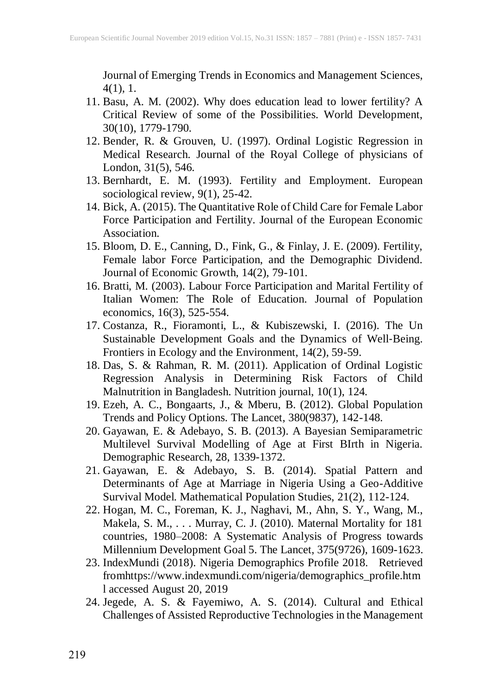Journal of Emerging Trends in Economics and Management Sciences, 4(1), 1.

- 11. Basu, A. M. (2002). Why does education lead to lower fertility? A Critical Review of some of the Possibilities. World Development, 30(10), 1779-1790.
- 12. Bender, R. & Grouven, U. (1997). Ordinal Logistic Regression in Medical Research. Journal of the Royal College of physicians of London, 31(5), 546.
- 13. Bernhardt, E. M. (1993). Fertility and Employment. European sociological review, 9(1), 25-42.
- 14. Bick, A. (2015). The Quantitative Role of Child Care for Female Labor Force Participation and Fertility. Journal of the European Economic Association.
- 15. Bloom, D. E., Canning, D., Fink, G., & Finlay, J. E. (2009). Fertility, Female labor Force Participation, and the Demographic Dividend. Journal of Economic Growth, 14(2), 79-101.
- 16. Bratti, M. (2003). Labour Force Participation and Marital Fertility of Italian Women: The Role of Education. Journal of Population economics, 16(3), 525-554.
- 17. Costanza, R., Fioramonti, L., & Kubiszewski, I. (2016). The Un Sustainable Development Goals and the Dynamics of Well‐Being. Frontiers in Ecology and the Environment, 14(2), 59-59.
- 18. Das, S. & Rahman, R. M. (2011). Application of Ordinal Logistic Regression Analysis in Determining Risk Factors of Child Malnutrition in Bangladesh. Nutrition journal, 10(1), 124.
- 19. Ezeh, A. C., Bongaarts, J., & Mberu, B. (2012). Global Population Trends and Policy Options. The Lancet, 380(9837), 142-148.
- 20. Gayawan, E. & Adebayo, S. B. (2013). A Bayesian Semiparametric Multilevel Survival Modelling of Age at First BIrth in Nigeria. Demographic Research, 28, 1339-1372.
- 21. Gayawan, E. & Adebayo, S. B. (2014). Spatial Pattern and Determinants of Age at Marriage in Nigeria Using a Geo-Additive Survival Model. Mathematical Population Studies, 21(2), 112-124.
- 22. Hogan, M. C., Foreman, K. J., Naghavi, M., Ahn, S. Y., Wang, M., Makela, S. M., . . . Murray, C. J. (2010). Maternal Mortality for 181 countries, 1980–2008: A Systematic Analysis of Progress towards Millennium Development Goal 5. The Lancet, 375(9726), 1609-1623.
- 23. IndexMundi (2018). Nigeria Demographics Profile 2018. Retrieved fromhttps://www.indexmundi.com/nigeria/demographics\_profile.htm l accessed August 20, 2019
- 24. Jegede, A. S. & Fayemiwo, A. S. (2014). Cultural and Ethical Challenges of Assisted Reproductive Technologies in the Management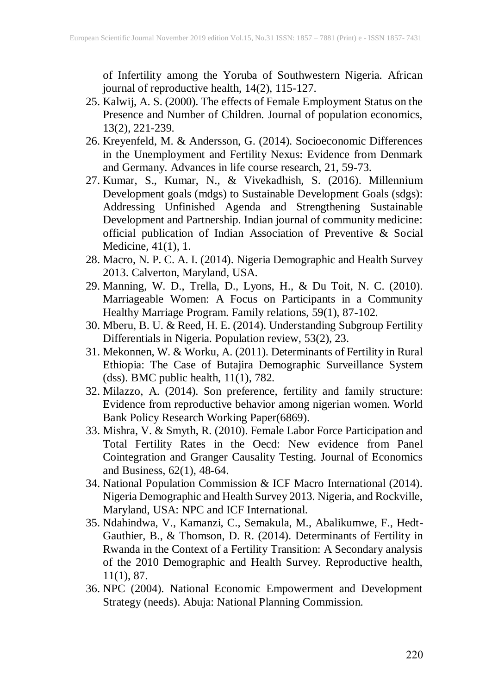of Infertility among the Yoruba of Southwestern Nigeria. African journal of reproductive health, 14(2), 115-127.

- 25. Kalwij, A. S. (2000). The effects of Female Employment Status on the Presence and Number of Children. Journal of population economics, 13(2), 221-239.
- 26. Kreyenfeld, M. & Andersson, G. (2014). Socioeconomic Differences in the Unemployment and Fertility Nexus: Evidence from Denmark and Germany. Advances in life course research, 21, 59-73.
- 27. Kumar, S., Kumar, N., & Vivekadhish, S. (2016). Millennium Development goals (mdgs) to Sustainable Development Goals (sdgs): Addressing Unfinished Agenda and Strengthening Sustainable Development and Partnership. Indian journal of community medicine: official publication of Indian Association of Preventive & Social Medicine, 41(1), 1.
- 28. Macro, N. P. C. A. I. (2014). Nigeria Demographic and Health Survey 2013. Calverton, Maryland, USA.
- 29. Manning, W. D., Trella, D., Lyons, H., & Du Toit, N. C. (2010). Marriageable Women: A Focus on Participants in a Community Healthy Marriage Program. Family relations, 59(1), 87-102.
- 30. Mberu, B. U. & Reed, H. E. (2014). Understanding Subgroup Fertility Differentials in Nigeria. Population review, 53(2), 23.
- 31. Mekonnen, W. & Worku, A. (2011). Determinants of Fertility in Rural Ethiopia: The Case of Butajira Demographic Surveillance System (dss). BMC public health, 11(1), 782.
- 32. Milazzo, A. (2014). Son preference, fertility and family structure: Evidence from reproductive behavior among nigerian women. World Bank Policy Research Working Paper(6869).
- 33. Mishra, V. & Smyth, R. (2010). Female Labor Force Participation and Total Fertility Rates in the Oecd: New evidence from Panel Cointegration and Granger Causality Testing. Journal of Economics and Business, 62(1), 48-64.
- 34. National Population Commission & ICF Macro International (2014). Nigeria Demographic and Health Survey 2013. Nigeria, and Rockville, Maryland, USA: NPC and ICF International.
- 35. Ndahindwa, V., Kamanzi, C., Semakula, M., Abalikumwe, F., Hedt-Gauthier, B., & Thomson, D. R. (2014). Determinants of Fertility in Rwanda in the Context of a Fertility Transition: A Secondary analysis of the 2010 Demographic and Health Survey. Reproductive health, 11(1), 87.
- 36. NPC (2004). National Economic Empowerment and Development Strategy (needs). Abuja: National Planning Commission.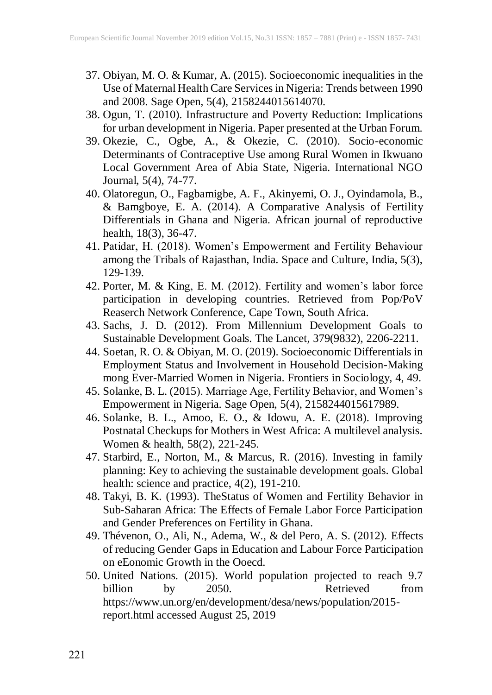- 37. Obiyan, M. O. & Kumar, A. (2015). Socioeconomic inequalities in the Use of Maternal Health Care Services in Nigeria: Trends between 1990 and 2008. Sage Open, 5(4), 2158244015614070.
- 38. Ogun, T. (2010). Infrastructure and Poverty Reduction: Implications for urban development in Nigeria. Paper presented at the Urban Forum.
- 39. Okezie, C., Ogbe, A., & Okezie, C. (2010). Socio-economic Determinants of Contraceptive Use among Rural Women in Ikwuano Local Government Area of Abia State, Nigeria. International NGO Journal, 5(4), 74-77.
- 40. Olatoregun, O., Fagbamigbe, A. F., Akinyemi, O. J., Oyindamola, B., & Bamgboye, E. A. (2014). A Comparative Analysis of Fertility Differentials in Ghana and Nigeria. African journal of reproductive health, 18(3), 36-47.
- 41. Patidar, H. (2018). Women's Empowerment and Fertility Behaviour among the Tribals of Rajasthan, India. Space and Culture, India, 5(3), 129-139.
- 42. Porter, M. & King, E. M. (2012). Fertility and women's labor force participation in developing countries. Retrieved from Pop/PoV Reaserch Network Conference, Cape Town, South Africa.
- 43. Sachs, J. D. (2012). From Millennium Development Goals to Sustainable Development Goals. The Lancet, 379(9832), 2206-2211.
- 44. Soetan, R. O. & Obiyan, M. O. (2019). Socioeconomic Differentials in Employment Status and Involvement in Household Decision-Making mong Ever-Married Women in Nigeria. Frontiers in Sociology, 4, 49.
- 45. Solanke, B. L. (2015). Marriage Age, Fertility Behavior, and Women's Empowerment in Nigeria. Sage Open, 5(4), 2158244015617989.
- 46. Solanke, B. L., Amoo, E. O., & Idowu, A. E. (2018). Improving Postnatal Checkups for Mothers in West Africa: A multilevel analysis. Women & health, 58(2), 221-245.
- 47. Starbird, E., Norton, M., & Marcus, R. (2016). Investing in family planning: Key to achieving the sustainable development goals. Global health: science and practice, 4(2), 191-210.
- 48. Takyi, B. K. (1993). TheStatus of Women and Fertility Behavior in Sub-Saharan Africa: The Effects of Female Labor Force Participation and Gender Preferences on Fertility in Ghana.
- 49. Thévenon, O., Ali, N., Adema, W., & del Pero, A. S. (2012). Effects of reducing Gender Gaps in Education and Labour Force Participation on eEonomic Growth in the Ooecd.
- 50. United Nations. (2015). World population projected to reach 9.7 billion by 2050. Retrieved from https://www.un.org/en/development/desa/news/population/2015 report.html accessed August 25, 2019